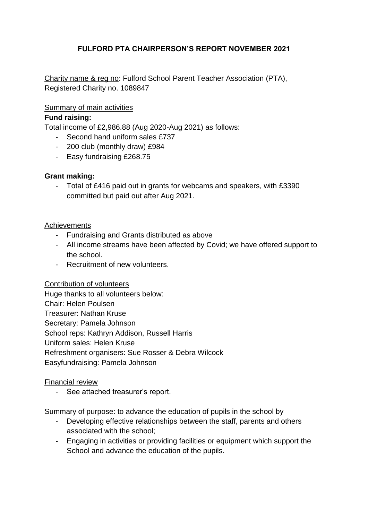# **FULFORD PTA CHAIRPERSON'S REPORT NOVEMBER 2021**

Charity name & reg no: Fulford School Parent Teacher Association (PTA), Registered Charity no. 1089847

## Summary of main activities

### **Fund raising:**

Total income of £2,986.88 (Aug 2020-Aug 2021) as follows:

- Second hand uniform sales £737
- 200 club (monthly draw) £984
- Easy fundraising £268.75

### **Grant making:**

- Total of £416 paid out in grants for webcams and speakers, with £3390 committed but paid out after Aug 2021.

### Achievements

- Fundraising and Grants distributed as above
- All income streams have been affected by Covid; we have offered support to the school.
- Recruitment of new volunteers.

### Contribution of volunteers

Huge thanks to all volunteers below: Chair: Helen Poulsen Treasurer: Nathan Kruse Secretary: Pamela Johnson School reps: Kathryn Addison, Russell Harris Uniform sales: Helen Kruse Refreshment organisers: Sue Rosser & Debra Wilcock Easyfundraising: Pamela Johnson

### Financial review

- See attached treasurer's report.

Summary of purpose: to advance the education of pupils in the school by

- Developing effective relationships between the staff, parents and others associated with the school;
- Engaging in activities or providing facilities or equipment which support the School and advance the education of the pupils.